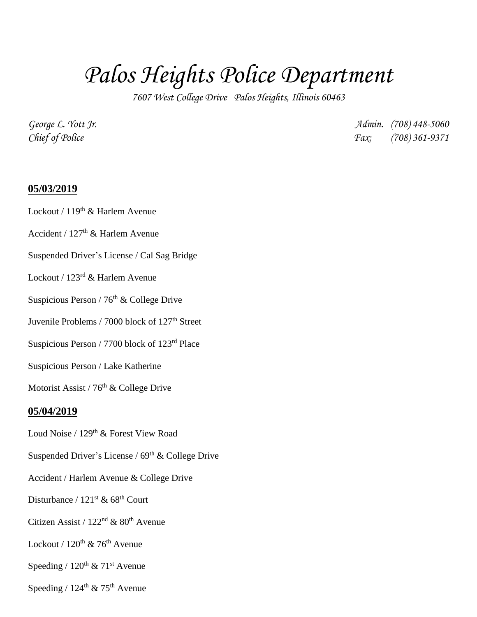# *Palos Heights Police Department*

*7607 West College Drive Palos Heights, Illinois 60463*

*George L. Yott Jr. Admin. (708) 448-5060 Chief of Police Fax: (708) 361-9371*

#### **05/03/2019**

Lockout /  $119<sup>th</sup>$  & Harlem Avenue

Accident /  $127<sup>th</sup>$  & Harlem Avenue

Suspended Driver's License / Cal Sag Bridge

Lockout / 123rd & Harlem Avenue

Suspicious Person /  $76<sup>th</sup>$  & College Drive

Juvenile Problems / 7000 block of 127<sup>th</sup> Street

Suspicious Person / 7700 block of 123rd Place

Suspicious Person / Lake Katherine

Motorist Assist /  $76<sup>th</sup>$  & College Drive

#### **05/04/2019**

- Loud Noise / 129<sup>th</sup> & Forest View Road
- Suspended Driver's License /  $69<sup>th</sup>$  & College Drive
- Accident / Harlem Avenue & College Drive
- Disturbance / 121<sup>st</sup> & 68<sup>th</sup> Court
- Citizen Assist /  $122<sup>nd</sup>$  &  $80<sup>th</sup>$  Avenue
- Lockout /  $120^{th}$  &  $76^{th}$  Avenue

Speeding /  $120^{th}$  &  $71^{st}$  Avenue

Speeding /  $124^{\text{th}}$  &  $75^{\text{th}}$  Avenue